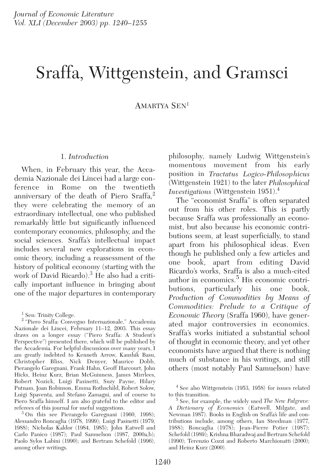# Sraffa, Wittgenstein, and Gramsci

AMARTYA SEN<sup>1</sup>

#### 1. *Introduction*

When, in February this year, the Accademia Nazionale dei Lincei had a large conference in Rome on the twentieth anniversary of the death of Piero Sraffa,<sup>2</sup> they were celebrating the memory of an extraordinary intellectual, one who published remarkably little but significantly influenced contemporary economics, philosophy, and the social sciences. Sraffa's intellectual impact includes several new explorations in economic theory, including a reassessment of the history of political economy (starting with the work of David Ricardo).<sup>3</sup> He also had a critically important influence in bringing about one of the major departures in contemporary

 $^1$ Sen: Trinity College.  $^2$  "Piero Sraffa: Convegno Internazionale," Accademia Nazionale dei Lincei, February 11–12, 2003. This essay draws on a longer essay ("Piero Sraffa: A Student's Perspective") presented there, which will be published by the Accademia. For helpful discussions over many years, I am greatly indebted to Kenneth Arrow, Kaushik Basu, Christopher Bliss, Nick Denyer, Maurice Dobb, Pierangelo Garegnani, Frank Hahn, Geoff Harcourt, John Hicks, Heinz Kurz, Brian McGuinness, James Mirrlees, Robert Nozick, Luigi Pasinetti, Suzy Payne, Hilary Putnam, Joan Robinson, Emma Rothschild, Robert Solow, Luigi Spaventa, and Stefano Zamagni, and of course to Piero Sraffa himself. I am also grateful to the editor and

referees of this journal for useful suggestions. <sup>3</sup> On this see Pierangelo Garegnani (1960, 1998); Alessandro Roncaglia (1978, 1999); Luigi Pasinetti (1979, 1988); Nicholas Kaldor (1984, 1985); John Eatwell and Carlo Panico (1987); Paul Samuelson (1987, 2000a,b); Paolo Sylos Labini (1990); and Bertram Schefold (1996), among other writings.

philosophy, namely Ludwig Wittgenstein's momentous movement from his early position in *Tractatus Logico-Philosophicus* (Wittgenstein 1921) to the later *Philosophical Investigations* (Wittgenstein 1951).<sup>4</sup>

The "economist Sraffa" is often separated out from his other roles. This is partly because Sraffa was professionally an economist, but also because his economic contributions seem, at least superficially, to stand apart from his philosophical ideas. Even though he published only a few articles and one book, apart from editing David Ricardo's works, Sraffa is also a much-cited author in economics.<sup>5</sup> His economic contributions, particularly his one book, *Production of Commodities by Means of Commodities: Prelude to a Critique of Economic Theory* (Sraffa 1960), have generated major controversies in economics. Sraffa's works initiated a substantial school of thought in economic theory, and yet other economists have argued that there is nothing much of substance in his writings, and still others (most notably Paul Samuelson) have

<sup>4</sup> See also Wittgenstein (1953, 1958) for issues related to this transition.

<sup>5</sup> See, for example, the widely used *The New Palgrave: A Dictionary of Economics* (Eatwell, Milgate, and Newman 1987). Books in English on Sraffa's life and contributions include, among others, Ian Steedman (1977, 1988); Roncaglia (1978); Jean-Pierre Potier (1987); Schefold (1989); Krishna Bharadwaj and Bertram Schefold (1990); Terenzio Cozzi and Roberto Marchionatti (2000); and Heinz Kurz (2000).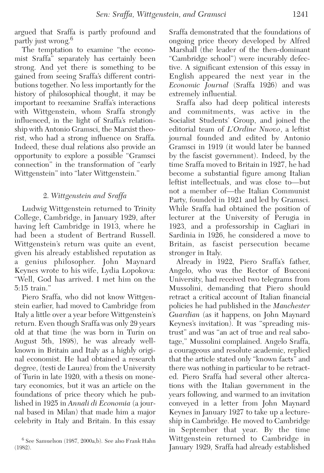argued that Sraffa is partly profound and partly just wrong.<sup>6</sup>

The temptation to examine "the economist Sraffa" separately has certainly been strong. And yet there is something to be gained from seeing Sraffa's different contributions together. No less importantly for the history of philosophical thought, it may be important to reexamine Sraffa's interactions with Wittgenstein, whom Sraffa strongly influenced, in the light of Sraffa's relationship with Antonio Gramsci, the Marxist theorist, who had a strong influence on Sraffa. Indeed, these dual relations also provide an opportunity to explore a possible "Gramsci connection" in the transformation of "early Wittgenstein" into "later Wittgenstein."

### 2. *Wittgenstein and Sraffa*

Ludwig Wittgenstein returned to Trinity College, Cambridge, in January 1929, after having left Cambridge in 1913, where he had been a student of Bertrand Russell. Wittgenstein's return was quite an event, given his already established reputation as a genius philosopher. John Maynard Keynes wrote to his wife, Lydia Lopokova: "Well, God has arrived. I met him on the 5:15 train."

Piero Sraffa, who did not know Wittgenstein earlier, had moved to Cambridge from Italy a little over a year before Wittgenstein's return. Even though Sraffa was only 29 years old at that time (he was born in Turin on August 5th, 1898), he was already wellknown in Britain and Italy as a highly original economist. He had obtained a research degree, (testi de Laurea) from the University of Turin in late 1920, with a thesis on monetary economics, but it was an article on the foundations of price theory which he published in 1925 in *Annali di Economia* (a journal based in Milan) that made him a major celebrity in Italy and Britain. In this essay Sraffa demonstrated that the foundations of ongoing price theory developed by Alfred Marshall (the leader of the then-dominant "Cambridge school") were incurably defective. A significant extension of this essay in English appeared the next year in the *Economic Journal* (Sraffa 1926) and was extremely influential.

Sraffa also had deep political interests and commitments, was active in the Socialist Students' Group, and joined the editorial team of *L'Ordine Nuovo*, a leftist journal founded and edited by Antonio Gramsci in 1919 (it would later be banned by the fascist government). Indeed, by the time Sraffa moved to Britain in 1927, he had become a substantial figure among Italian leftist intellectuals, and was close to—but not a member of—the Italian Communist Party, founded in 1921 and led by Gramsci. While Sraffa had obtained the position of lecturer at the University of Perugia in 1923, and a professorship in Cagliari in Sardinia in 1926, he considered a move to Britain, as fascist persecution became stronger in Italy.

Already in 1922, Piero Sraffa's father, Angelo, who was the Rector of Bucconi University, had received two telegrams from Mussolini, demanding that Piero should retract a critical account of Italian financial policies he had published in the *Manchester Guardian* (as it happens, on John Maynard Keynes's invitation). It was "spreading mistrust" and was "an act of true and real sabotage," Mussolini complained. Angelo Sraffa, a courageous and resolute academic, replied that the article stated only "known facts" and there was nothing in particular to be retracted. Piero Sraffa had several other altercations with the Italian government in the years following, and warmed to an invitation conveyed in a letter from John Maynard Keynes in January 1927 to take up a lectureship in Cambridge. He moved to Cambridge in September that year. By the time Wittgenstein returned to Cambridge in January 1929, Sraffa had already established

<sup>6</sup> See Samuelson (1987, 2000a,b). See also Frank Hahn (1982).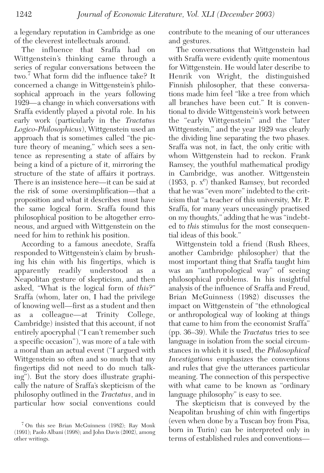a legendary reputation in Cambridge as one of the cleverest intellectuals around.

The influence that Sraffa had on Wittgenstein's thinking came through a series of regular conversations between the two.<sup>7</sup> What form did the influence take? It concerned a change in Wittgenstein's philosophical approach in the years following 1929—a change in which conversations with Sraffa evidently played a pivotal role. In his early work (particularly in the *Tractatus Logico-Philosophicus*), Wittgenstein used an approach that is sometimes called "the picture theory of meaning," which sees a sentence as representing a state of affairs by being a kind of a picture of it, mirroring the structure of the state of affairs it portrays. There is an insistence here—it can be said at the risk of some oversimplification—that a proposition and what it describes must have the same logical form. Sraffa found this philosophical position to be altogether erroneous, and argued with Wittgenstein on the need for him to rethink his position.

According to a famous anecdote, Sraffa responded to Wittgenstein's claim by brushing his chin with his fingertips, which is apparently readily understood as a Neapolitan gesture of skepticism, and then asked, "What is the logical form of *this*?" Sraffa (whom, later on, I had the privilege of knowing well—first as a student and then as a colleague—at Trinity College, Cambridge) insisted that this account, if not entirely apocryphal ("I can't remember such a specific occasion"), was more of a tale with a moral than an actual event ("I argued with Wittgenstein so often and so much that my fingertips did not need to do much talking"). But the story does illustrate graphically the nature of Sraffa's skepticism of the philosophy outlined in the *Tractatus*, and in particular how social conventions could

contribute to the meaning of our utterances and gestures.

The conversations that Wittgenstein had with Sraffa were evidently quite momentous for Wittgenstein. He would later describe to Henrik von Wright, the distinguished Finnish philosopher, that these conversations made him feel "like a tree from which all branches have been cut." It is conventional to divide Wittgenstein's work between the "early Wittgenstein" and the "later Wittgenstein," and the year 1929 was clearly the dividing line separating the two phases. Sraffa was not, in fact, the only critic with whom Wittgenstein had to reckon. Frank Ramsey, the youthful mathematical prodigy in Cambridge, was another. Wittgenstein (1953, p. x<sup>e</sup>) thanked Ramsey, but recorded that he was "even more" indebted to the criticism that "a teacher of this university, Mr. P. Sraffa, for many years unceasingly practised on my thoughts," adding that he was "indebted to *this* stimulus for the most consequential ideas of this book."

Wittgenstein told a friend (Rush Rhees, another Cambridge philosopher) that the most important thing that Sraffa taught him was an "anthropological way" of seeing philosophical problems. In his insightful analysis of the influence of Sraffa and Freud, Brian McGuinness (1982) discusses the impact on Wittgenstein of "the ethnological or anthropological way of looking at things that came to him from the economist Sraffa" (pp. 36–39). While the *Tractatus* tries to see language in isolation from the social circumstances in which it is used, the *Philosophical Investigations* emphasizes the conventions and rules that give the utterances particular meaning. The connection of this perspective with what came to be known as "ordinary language philosophy" is easy to see.

The skepticism that is conveyed by the Neapolitan brushing of chin with fingertips (even when done by a Tuscan boy from Pisa, born in Turin) can be interpreted only in terms of established rules and conventions—

<sup>&</sup>lt;sup>7</sup> On this see Brian McGuinness (1982); Ray Monk (1991); Paolo Albani (1998); and John Davis (2002), among other writings.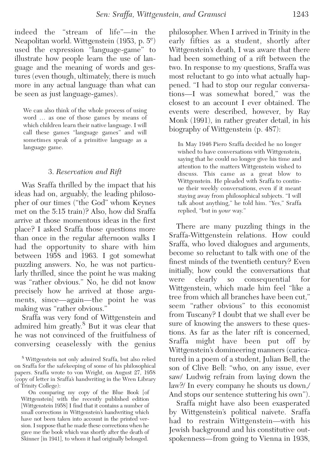indeed the "stream of life"—in the Neapolitan world. Wittgenstein (1953, p. 5<sup>e</sup>) used the expression "language-game" to illustrate how people learn the use of language and the meaning of words and gestures (even though, ultimately, there is much more in any actual language than what can be seen as just language-games).

We can also think of the whole process of using word … as one of those games by means of which children learn their native language. I will call these games "language games" and will sometimes speak of a primitive language as a language game.

#### 3. *Reservation and Rift*

Was Sraffa thrilled by the impact that his ideas had on, arguably, the leading philosopher of our times ("the God" whom Keynes met on the 5:15 train)? Also, how did Sraffa arrive at those momentous ideas in the first place? I asked Sraffa those questions more than once in the regular afternoon walks I had the opportunity to share with him between 1958 and 1963. I got somewhat puzzling answers. No, he was not particularly thrilled, since the point he was making was "rather obvious." No, he did not know were precisely how he arrived at those arguments, since—again—the point he was making was "rather obvious."

Sraffa was very fond of Wittgenstein and admired him greatly.<sup>8</sup> But it was clear that he was not convinced of the fruitfulness of conversing ceaselessly with the genius

<sup>8</sup> Wittgenstein not only admired Sraffa, but also relied on Sraffa for the safekeeping of some of his philosophical papers. Sraffa wrote to von Wright, on August 27, 1958 (copy of letter in Sraffa's handwriting in the Wren Library of Trinity College):

On comparing my copy of the Blue Book [of Wittgenstein] with the recently published edition [Wittgenstein 1958] I find that it contains a number of small corrections in Wittgenstein's handwriting which have not been taken into account in the printed ver sion. I suppose that he made these corrections when he gave me the book which was shortly after the death of Skinner [in 1941], to whom it had originally belonged.

philosopher. When I arrived in Trinity in the early fifties as a student, shortly after Wittgenstein's death, I was aware that there had been something of a rift between the two. In response to my questions, Sraffa was most reluctant to go into what actually happened. "I had to stop our regular conversations—I was somewhat bored," was the closest to an account I ever obtained. The events were described, however, by Ray Monk (1991), in rather greater detail, in his biography of Wittgenstein (p. 487):

In May 1946 Piero Sraffa decided he no longer wished to have conversations with Wittgenstein, saying that he could no longer give his time and attention to the matters Wittgenstein wished to discuss. This came as a great blow to Wittgenstein. He pleaded with Sraffa to contin ue their weekly conversations, even if it meant staying away from philosophical subjects. "I will talk about anything," he told him. "Yes," Sraffa replied, "but in *your* way."

There are many puzzling things in the Sraffa-Wittgenstein relations. How could Sraffa, who loved dialogues and arguments, become so reluctant to talk with one of the finest minds of the twentieth century? Even initially, how could the conversations that clearly so consequential for Wittgenstein, which made him feel "like a tree from which all branches have been cut," seem "rather obvious" to this economist from Tuscany? I doubt that we shall ever be sure of knowing the answers to these questions. As far as the later rift is concerned, Sraffa might have been put off by Wittgenstein's domineering manners (caricatured in a poem of a student, Julian Bell, the son of Clive Bell: "who, on any issue, ever saw/ Ludwig refrain from laying down the law?/ In every company he shouts us down,/ And stops our sentence stuttering his own").

Sraffa might have also been exasperated by Wittgenstein's political naivete. Sraffa had to restrain Wittgenstein—with his Jewish background and his constitutive outspokenness—from going to Vienna in 1938,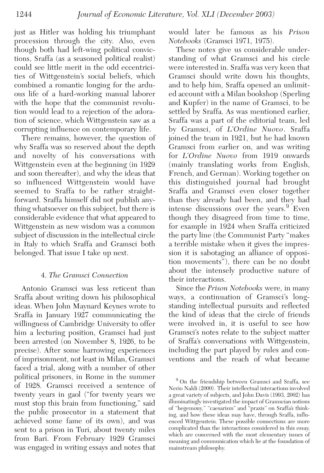just as Hitler was holding his triumphant procession through the city. Also, even though both had left-wing political convictions, Sraffa (as a seasoned political realist) could see little merit in the odd eccentricities of Wittgenstein's social beliefs, which combined a romantic longing for the arduous life of a hard-working manual laborer with the hope that the communist revolution would lead to a rejection of the adoration of science, which Wittgenstein saw as a corrupting influence on contemporary life.

There remains, however, the question of why Sraffa was so reserved about the depth and novelty of his conversations with Wittgenstein even at the beginning (in 1929 and soon thereafter), and why the ideas that so influenced Wittgenstein would have seemed to Sraffa to be rather straightforward. Sraffa himself did not publish anything whatsoever on this subject, but there is considerable evidence that what appeared to Wittgenstein as new wisdom was a common subject of discussion in the intellectual circle in Italy to which Sraffa and Gramsci both belonged. That issue I take up next.

# 4. *The Gramsci Connection*

Antonio Gramsci was less reticent than Sraffa about writing down his philosophical ideas. When John Maynard Keynes wrote to Sraffa in January 1927 communicating the willingness of Cambridge University to offer him a lecturing position, Gramsci had just been arrested (on November 8, 1926, to be precise). After some harrowing experiences of imprisonment, not least in Milan, Gramsci faced a trial, along with a number of other political prisoners, in Rome in the summer of 1928. Gramsci received a sentence of twenty years in gaol ("for twenty years we must stop this brain from functioning," said the public prosecutor in a statement that achieved some fame of its own), and was sent to a prison in Turi, about twenty miles from Bari. From February 1929 Gramsci was engaged in writing essays and notes that

would later be famous as his *Prison Notebooks* (Gramsci 1971, 1975).

These notes give us considerable understanding of what Gramsci and his circle were interested in. Sraffa was very keen that Gramsci should write down his thoughts, and to help him, Sraffa opened an unlimited account with a Milan bookshop (Sperling and Kupfer) in the name of Gramsci, to be settled by Sraffa. As was mentioned earlier, Sraffa was a part of the editorial team, led by Gramsci, of *L'Ordine Nuovo*. Sraffa joined the team in 1921, but he had known Gramsci from earlier on, and was writing for *L'Ordine Nuovo* from 1919 onwards (mainly translating works from English, French, and German). Working together on this distinguished journal had brought Sraffa and Gramsci even closer together than they already had been, and they had intense discussions over the years. <sup>9</sup> Even though they disagreed from time to time, for example in 1924 when Sraffa criticized the party line (the Communist Party "makes a terrible mistake when it gives the impression it is sabotaging an alliance of opposition movements"), there can be no doubt about the intensely productive nature of their interactions.

Since the *Prison Notebooks* were, in many ways, a continuation of Gramsci's longstanding intellectual pursuits and reflected the kind of ideas that the circle of friends were involved in, it is useful to see how Gramsci's notes relate to the subject matter of Sraffa's conversations with Wittgenstein, including the part played by rules and conventions and the reach of what became

<sup>&</sup>lt;sup>9</sup> On the friendship between Gramsci and Sraffa, see Nerio Naldi (2000). Their intellectual interactions involved a great variety of subjects, and John Davis (1993, 2002) has illuminatingly investigated the impact of Gramscian notions of "hegemony," "caesarism" and "praxis" on Sraffa's thinking, and how these ideas may have, through Sraffa, influenced Wittgenstein. These possible connections are more complicated than the interactions considered in this essay, which are concerned with the most elementary issues of meaning and communication which lie at the foundation of mainstream philosophy.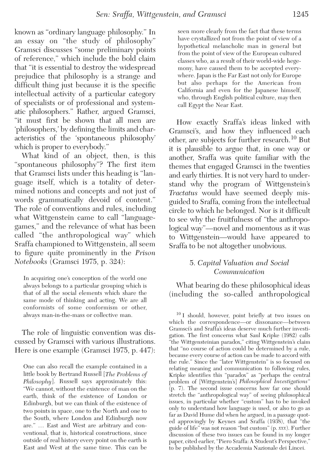known as "ordinary language philosophy." In an essay on "the study of philosophy" Gramsci discusses "some preliminary points of reference," which include the bold claim that "it is essential to destroy the widespread prejudice that philosophy is a strange and difficult thing just because it is the specific intellectual activity of a particular category of specialists or of professional and systematic philosophers." Rather, argued Gramsci, "it must first be shown that all men are 'philosophers,' by defining the limits and characteristics of the 'spontaneous philosophy' which is proper to everybody."

What kind of an object, then, is this "spontaneous philosophy"? The first item that Gramsci lists under this heading is "language itself, which is a totality of determined notions and concepts and not just of words grammatically devoid of content." The role of conventions and rules, including what Wittgenstein came to call "languagegames," and the relevance of what has been called "the anthropological way" which Sraffa championed to Wittgenstein, all seem to figure quite prominently in the *Prison Notebooks* (Gramsci 1975, p. 324):

In acquiring one's conception of the world one always belongs to a particular grouping which is that of all the social elements which share the same mode of thinking and acting. We are all conformists of some conformism or other, always man-in-the-mass or collective man.

The role of linguistic convention was discussed by Gramsci with various illustrations. Here is one example (Gramsci 1975, p. 447):

One can also recall the example contained in a little book by Bertrand Russell [*The Problems of Philosophy*]. Russell says approximately this: "We cannot, without the existence of man on the earth, think of the existence of London or Edinburgh, but we can think of the existence of two points in space, one to the North and one to the South, where London and Edinburgh now are." … East and West are arbitrary and con ventional, that is, historical constructions, since outside of real history every point on the earth is East and West at the same time. This can be

seen more clearly from the fact that these terms have crystallized not from the point of view of a hypothetical melancholic man in general but from the point of view of the European cultured classes who, as a result of their world-wide hegemony, have caused them to be accepted everywhere. Japan is the Far East not only for Europe but also perhaps for the American from California and even for the Japanese himself, who, through English political culture, may then call Egypt the Near East.

How exactly Sraffa's ideas linked with Gramsci's, and how they influenced each other, are subjects for further research.<sup>10</sup> But it is plausible to argue that, in one way or another, Sraffa was quite familiar with the themes that engaged Gramsci in the twenties and early thirties. It is not very hard to understand why the program of Wittgenstein's *Tractatus* would have seemed deeply misguided to Sraffa, coming from the intellectual circle to which he belonged. Nor is it difficult to see why the fruitfulness of "the anthropological way"—novel and momentous as it was to Wittgenstein—would have appeared to Sraffa to be not altogether unobvious.

### 5. *Capital Valuation and Social Communication*

What bearing do these philosophical ideas (including the so-called anthropological

<sup>10</sup> I should, however, point briefly at two issues on which the correspondence—or dissonance—between Gramsci's and Sraffa's ideas deserve much further investigation. The first concerns what Saul Kripke (1982) calls "the Wittgensteinian paradox," citing Wittgenstein's claim that "no course of action could be determined by a rule, because every course of action can be made to accord with the rule." Since the "later Wittgenstein" is so focused on relating meaning and communication to following rules, Kripke identifies this "paradox" as "perhaps the central problem of [Wittgenstein's] *Philosophical Investigations*"  $(p, 7)$ . The second issue concerns how far one should stretch the "anthropological way" of seeing philosophical issues, in particular whether "custom" has to be invoked only to understand how language is used, or also to go as far as David Hume did when he argued, in a passage quoted approvingly by Keynes and Sraffa (1938), that "the guide of life" was not reason "but custom" (p. *xxx*). Further discussion of these two issues can be found in my longer paper, cited earlier, "Piero Sraffa: A Student's Perspective," to be published by the Accademia Nazionale dei Lincei.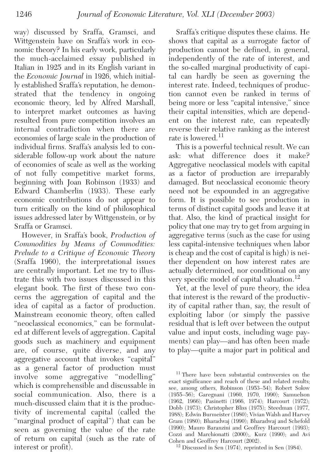way) discussed by Sraffa, Gramsci, and Wittgenstein have on Sraffa's work in economic theory? In his early work, particularly the much-acclaimed essay published in Italian in 1925 and in its English variant in the *Economic Journal* in 1926, which initially established Sraffa's reputation, he demonstrated that the tendency in ongoing economic theory, led by Alfred Marshall, to interpret market outcomes as having resulted from pure competition involves an internal contradiction when there are economies of large scale in the production of individual firms. Sraffa's analysis led to considerable follow-up work about the nature of economies of scale as well as the working of not fully competitive market forms, beginning with Joan Robinson (1933) and Edward Chamberlin (1933). These early economic contributions do not appear to turn critically on the kind of philosophical issues addressed later by Wittgenstein, or by Sraffa or Gramsci.

However, in Sraffa's book, *Production of Commodities by Means of Commodities: Prelude to a Critique of Economic Theory* (Sraffa 1960), the interpretational issues are centrally important. Let me try to illustrate this with two issues discussed in this elegant book. The first of these two concerns the aggregation of capital and the idea of capital as a factor of production. Mainstream economic theory, often called "neoclassical economics," can be formulated at different levels of aggregation. Capital goods such as machinery and equipment are, of course, quite diverse, and any aggregative account that invokes "capital" as a general factor of production must involve some aggregative "modelling" which is comprehensible and discussable in social communication. Also, there is a much-discussed claim that it is the productivity of incremental capital (called the "marginal product of capital") that can be seen as governing the value of the rate of return on capital (such as the rate of interest or profit).

Sraffa's critique disputes these claims. He shows that capital as a surrogate factor of production cannot be defined, in general, independently of the rate of interest, and the so-called marginal productivity of capital can hardly be seen as governing the interest rate. Indeed, techniques of production cannot even be ranked in terms of being more or less "capital intensive," since their capital intensities, which are dependent on the interest rate, can repeatedly reverse their relative ranking as the interest rate is lowered.<sup>11</sup>

This is a powerful technical result. We can ask: what difference does it make? Aggregative neoclassical models with capital as a factor of production are irreparably damaged. But neoclassical economic theory need not be expounded in an aggregative form. It is possible to see production in terms of distinct capital goods and leave it at that. Also, the kind of practical insight for policy that one may try to get from arguing in aggregative terms (such as the case for using less capital-intensive techniques when labor is cheap and the cost of capital is high) is neither dependent on how interest rates are actually determined, nor conditional on any very specific model of capital valuation.<sup>12</sup>

Yet, at the level of pure theory, the idea that interest is the reward of the productivity of capital rather than, say, the result of exploiting labor (or simply the passive residual that is left over between the output value and input costs, including wage payments) can play—and has often been made to play—quite a major part in political and

<sup>12</sup> Discussed in Sen (1974), reprinted in Sen (1984).

<sup>&</sup>lt;sup>11</sup> There have been substantial controversies on the exact significance and reach of these and related results; see, among others, Robinson (1953–54); Robert Solow (1955–56); Garegnani (1960, 1970, 1990); Samuelson (1962, 1966); Pasinetti (1966, 1974); Harcourt (1972); Dobb (1973); Christopher Bliss (1975); Steedman (1977, 1988); Edwin Burmeister (1980); Vivian Walsh and Harvey Gram (1980); Bharadwaj (1990); Bharadwaj and Schefold (1990); Mauro Baranzini and Geoffrey Harcourt (1993); Cozzi and Marchionatti (2000);, Kurz (1990); and Avi Cohen and Geoffrey Harcourt (2002).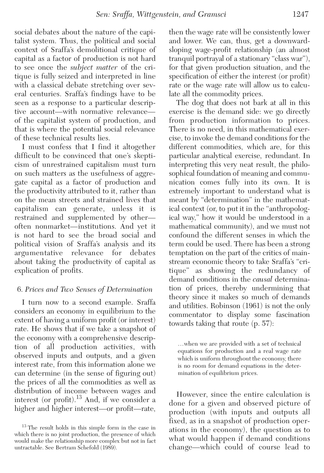social debates about the nature of the capitalist system. Thus, the political and social context of Sraffa's demolitional critique of capital as a factor of production is not hard to see once the *subject matter* of the critique is fully seized and interpreted in line with a classical debate stretching over several centuries. Sraffa's findings have to be seen as a response to a particular descriptive account—with normative relevance of the capitalist system of production, and that is where the potential social relevance of these technical results lies.

I must confess that I find it altogether difficult to be convinced that one's skepticism of unrestrained capitalism must turn on such matters as the usefulness of aggregate capital as a factor of production and the productivity attributed to it, rather than on the mean streets and strained lives that capitalism can generate, unless it is restrained and supplemented by other often nonmarket—institutions. And yet it is not hard to see the broad social and political vision of Sraffa's analysis and its argumentative relevance for debates about taking the productivity of capital as explication of profits.

# 6. *Prices and Two Senses of Determination*

I turn now to a second example. Sraffa considers an economy in equilibrium to the extent of having a uniform profit (or interest) rate. He shows that if we take a snapshot of the economy with a comprehensive description of all production activities, with observed inputs and outputs, and a given interest rate, from this information alone we can determine (in the sense of figuring out) the prices of all the commodities as well as distribution of income between wages and interest (or profit).<sup>13</sup> And, if we consider a higher and higher interest—or profit—rate,

then the wage rate will be consistently lower and lower. We can, thus, get a downwardsloping wage-profit relationship (an almost tranquil portrayal of a stationary "class war"), for that given production situation, and the specification of either the interest (or profit) rate or the wage rate will allow us to calculate all the commodity prices.

The dog that does not bark at all in this exercise is the demand side: we go directly from production information to prices. There is no need, in this mathematical exercise, to invoke the demand conditions for the different commodities, which are, for this particular analytical exercise, redundant. In interpreting this very neat result, the philosophical foundation of meaning and communication comes fully into its own. It is extremely important to understand what is meant by "determination" in the mathematical context (or, to put it in the "anthropological way," how it would be understood in a mathematical community), and we must not confound the different senses in which the term could be used. There has been a strong temptation on the part of the critics of mainstream economic theory to take Sraffa's "critique" as showing the redundancy of demand conditions in the *causal* determination of prices, thereby undermining that theory since it makes so much of demands and utilities. Robinson (1961) is not the only commentator to display some fascination towards taking that route (p. 57):

…when we are provided with a set of technical equations for production and a real wage rate which is uniform throughout the economy, there is no room for demand equations in the determination of equilibrium prices.

However, since the entire calculation is done for a given and observed picture of production (with inputs and outputs all fixed, as in a snapshot of production operations in the economy), the question as to what would happen if demand conditions change—which could of course lead to

<sup>&</sup>lt;sup>13</sup> The result holds in this simple form in the case in which there is no joint production, the presence of which would make the relationship more complex but not in fact untractable. See Bertram Schefold (1989).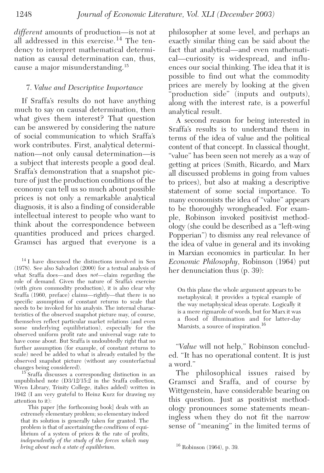*different* amounts of production—is not at all addressed in this exercise.<sup>14</sup> The tendency to interpret mathematical determination as causal determination can, thus, cause a major misunderstanding.<sup>15</sup>

#### 7. *Value and Descriptive Importance*

If Sraffa's results do not have anything much to say on causal determination, then what gives them interest? That question can be answered by considering the nature of social communication to which Sraffa's work contributes. First, analytical determination—not only causal determination—is a subject that interests people a good deal. Sraffa's demonstration that a snapshot picture of just the production conditions of the economy can tell us so much about possible prices is not only a remarkable analytical diagnosis, it is also a finding of considerable intellectual interest to people who want to think about the correspondence between quantities produced and prices charged. Gramsci has argued that everyone is a

<sup>15</sup> Sraffa discusses a corresponding distinction in an unpublished note  $(D3/12/15:2)$  in the Sraffa collection, Wren Library, Trinity College, italics added) written in 1942 (I am very grateful to Heinz Kurz for drawing my attention to it):

This paper [the forthcoming book] deals with an extremely elementary problem; so elementary indeed that its solution is generally taken for granted. The problem is that of ascertaining the *conditions* of equilibrium of a system of prices & the rate of profits, *independently of the study of the forces which may bring about such a state of equilibrium*.

philosopher at some level, and perhaps an exactly similar thing can be said about the fact that analytical—and even mathematical—curiosity is widespread, and influences our social thinking. The idea that it is possible to find out what the commodity prices are merely by looking at the given "production side" (inputs and outputs), along with the interest rate, is a powerful analytical result.

A second reason for being interested in Sraffa's results is to understand them in terms of the idea of value and the political content of that concept. In classical thought, "value" has been seen not merely as a way of getting at prices (Smith, Ricardo, and Marx all discussed problems in going from values to prices), but also at making a descriptive statement of some social importance. To many economists the idea of "value" appears to be thoroughly wrongheaded. For example, Robinson invoked positivist methodology (she could be described as a "left-wing Popperian") to dismiss any real relevance of the idea of value in general and its invoking in Marxian economics in particular. In her *Economic Philosophy*, Robinson (1964) put her denunciation thus (p. 39):

On this plane the whole argument appears to be metaphysical; it provides a typical example of the way metaphysical ideas operate. Logically it is a mere rigmarole of words, but for Marx it was a flood of illumination and for latter-day Marxists, a source of inspiration.<sup>16</sup>

"*Value* will not help," Robinson concluded. "It has no operational content. It is just a word."

The philosophical issues raised by Gramsci and Sraffa, and of course by Wittgenstein, have considerable bearing on this question. Just as positivist methodology pronounces some statements meaningless when they do not fit the narrow sense of "meaning" in the limited terms of

<sup>&</sup>lt;sup>14</sup> I have discussed the distinctions involved in Sen (1978). See also Salvadori (2000) for a textual analysis of what Sraffa does—and does *not*—claim regarding the role of demand. Given the nature of Sraffa's exercise (with *given* commodity production), it is also clear why Sraffa (1960, preface) claims—rightly—that there is no specific assumption of constant returns to scale that needs to be invoked for his analysis. The internal characteristics of the observed snapshot picture may, of course, themselves reflect particular market relations (and even some underlying equilibriation), especially for the observed uniform profit rate and universal wage rate to have come about. But Sraffa is undoubtedly right that no further assumption (for example, of constant returns to scale) need be added to what is already entailed by the observed snapshot picture (without any counterfactual changes being considered).

 $16$  Robinson (1964), p. 39.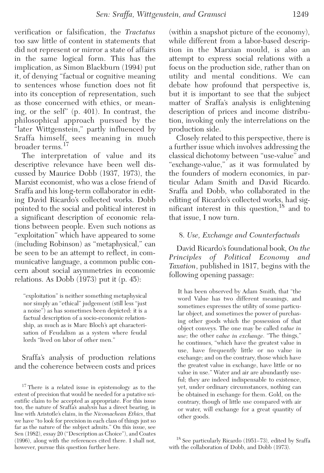verification or falsification, the *Tractatus* too saw little of content in statements that did not represent or mirror a state of affairs in the same logical form. This has the implication, as Simon Blackburn (1994) put it, of denying "factual or cognitive meaning to sentences whose function does not fit into its conception of representation, such as those concerned with ethics, or meaning, or the self" (p. 401). In contrast, the philosophical approach pursued by the "later Wittgenstein," partly influenced by Sraffa himself, sees meaning in much broader terms.<sup>17</sup>

The interpretation of value and its descriptive relevance have been well discussed by Maurice Dobb (1937, 1973), the Marxist economist, who was a close friend of Sraffa and his long-term collaborator in editing David Ricardo's collected works. Dobb pointed to the social and political interest in a significant description of economic relations between people. Even such notions as "exploitation" which have appeared to some (including Robinson) as "metaphysical," can be seen to be an attempt to reflect, in communicative language, a common public concern about social asymmetries in economic relations. As Dobb (1973) put it (p. 45):

"exploitation" is neither something metaphysical nor simply an "ethical" judgement (still less "just a noise") as has sometimes been depicted: it is a factual description of a socio-economic relationship, as much as is Marc Bloch's apt characterisation of Feudalism as a system where feudal lords "lived on labor of other men."

# Sraffa's analysis of production relations and the coherence between costs and prices

(within a snapshot picture of the economy), while different from a labor-based description in the Marxian mould, is also an attempt to express social relations with a focus on the production side, rather than on utility and mental conditions. We can debate how profound that perspective is, but it is important to see that the subject matter of Sraffa's analysis is enlightening description of prices and income distribution, invoking only the interrelations on the production side.

Closely related to this perspective, there is a further issue which involves addressing the classical dichotomy between "use-value" and "exchange-value," as it was formulated by the founders of modern economics, in particular Adam Smith and David Ricardo. Sraffa and Dobb, who collaborated in the editing of Ricardo's collected works, had significant interest in this question, $^{18}$  and to that issue, I now turn.

#### 8. *Use, Exchange and Counterfactuals*

David Ricardo's foundational book, *On the Principles of Political Economy and Taxation*, published in 1817, begins with the following opening passage:

It has been observed by Adam Smith, that "the word Value has two different meanings, and sometimes expresses the utility of some particular object, and sometimes the power of purchasing other goods which the possession of that object conveys. The one may be called *value in use*; the other *value in exchange*. "The things," he continues, "which have the greatest value in use, have frequently little or no value in exchange; and on the contrary, those which have the greatest value in exchange, have little or no value in use." Water and air are abundantly useful; they are indeed indispensable to existence, yet, under ordinary circumstances, nothing can be obtained in exchange for them. Gold, on the contrary, though of little use compared with air or water, will exchange for a great quantity of other goods.

<sup>17</sup> There is a related issue in epistemology as to the extent of precision that would be needed for a putative scientific claim to be accepted as appropriate. For this issue too, the nature of Sraffa's analysis has a direct bearing, in line with Aristotle's claim, in the *Nicomachean Ethics*, that we have "to look for precision in each class of things just so far as the nature of the subject admits." On this issue, see Sen (1982), essay 20 ("Description as Choice"), and Coates (1996), along with the references cited there. I shall not, however, pursue this question further here.

<sup>18</sup> See particularly Ricardo (1951–73), edited by Sraffa with the collaboration of Dobb, and Dobb (1973).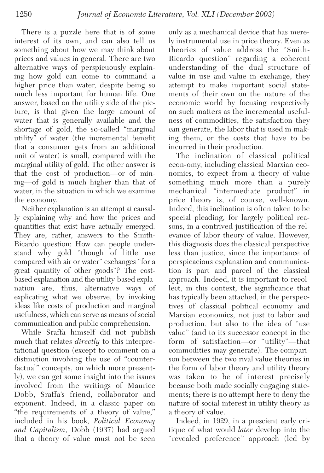There is a puzzle here that is of some interest of its own, and can also tell us something about how we may think about prices and values in general. There are two alternative ways of perspicuously explaining how gold can come to command a higher price than water, despite being so much less important for human life. One answer, based on the utility side of the picture, is that given the large amount of water that is generally available and the shortage of gold, the so-called "marginal utility" of water (the incremental benefit that a consumer gets from an additional unit of water) is small, compared with the marginal utility of gold. The other answer is that the cost of production—or of mining—of gold is much higher than that of water, in the situation in which we examine the economy.

Neither explanation is an attempt at causally explaining why and how the prices and quantities that exist have actually emerged. They are, rather, answers to the Smith-Ricardo question: How can people understand why gold "though of little use compared with air or water" exchanges "for a great quantity of other goods"? The costbased explanation and the utility-based explanation are, thus, alternative ways of explicating what we observe, by invoking ideas like costs of production and marginal usefulness, which can serve as means of social communication and public comprehension.

While Sraffa himself did not publish much that relates *directly* to this interpretational question (except to comment on a distinction involving the use of "counterfactual" concepts, on which more presently), we can get some insight into the issues involved from the writings of Maurice Dobb, Sraffa's friend, collaborator and exponent. Indeed, in a classic paper on "the requirements of a theory of value," included in his book, *Political Economy and Capitalism*, Dobb (1937) had argued that a theory of value must not be seen

only as a mechanical device that has merely instrumental use in price theory. Even as theories of value address the "Smith- Ricardo question" regarding a coherent understanding of the dual structure of value in use and value in exchange, they attempt to make important social statements of their own on the nature of the economic world by focusing respectively on such matters as the incremental usefulness of commodities, the satisfaction they can generate, the labor that is used in making them, or the costs that have to be incurred in their production.

The inclination of classical political econ-omy, including classical Marxian economics, to expect from a theory of value something much more than a purely mechanical "intermediate product" in price theory is, of course, well-known. Indeed, this inclination is often taken to be special pleading, for largely political reasons, in a contrived justification of the relevance of labor theory of value. However, this diagnosis does the classical perspective less than justice, since the importance of perspicacious explanation and communication is part and parcel of the classical approach. Indeed, it is important to recollect, in this context, the significance that has typically been attached, in the perspectives of classical political economy and Marxian economics, not just to labor and production, but also to the idea of "use value" (and to its successor concept in the form of satisfaction—or "utility"—that commodities may generate). The comparison between the two rival value theories in the form of labor theory and utility theory was taken to be of interest precisely because both made socially engaging statements; there is no attempt here to deny the nature of social interest in utility theory as a theory of value.

Indeed, in 1929, in a prescient early critique of what would *later* develop into the "revealed preference" approach (led by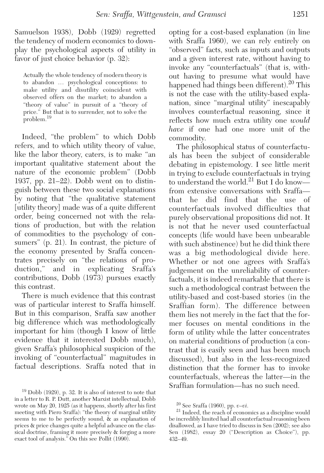Samuelson 1938), Dobb (1929) regretted the tendency of modern economics to downplay the psychological aspects of utility in favor of just choice behavior (p. 32):

Actually the whole tendency of modern theory is to abandon … psychological conceptions: to make utility and disutility coincident with observed offers on the market; to abandon a "theory of value" in pursuit of a "theory of price." But that is to surrender, not to solve the problem.<sup>19</sup>

Indeed, "the problem" to which Dobb refers, and to which utility theory of value, like the labor theory, caters, is to make "an important qualitative statement about the nature of the economic problem" (Dobb 1937, pp. 21–22). Dobb went on to distinguish between these two social explanations by noting that "the qualitative statement [utility theory] made was of a quite different order, being concerned not with the relations of production, but with the relation of commodities to the psychology of consumers" (p. 21). In contrast, the picture of the economy presented by Sraffa concentrates precisely on "the relations of production," and in explicating Sraffa's contributions, Dobb (1973) pursues exactly this contrast.

There is much evidence that this contrast was of particular interest to Sraffa himself. But in this comparison, Sraffa saw another big difference which was methodologically important for him (though I know of little evidence that it interested Dobb much), given Sraffa's philosophical suspicion of the invoking of "counterfactual" magnitudes in factual descriptions. Sraffa noted that in

opting for a cost-based explanation (in line with Sraffa 1960), we can rely entirely on "observed" facts, such as inputs and outputs and a given interest rate, without having to invoke any "counterfactuals" (that is, without having to presume what would have happened had things been different).<sup>20</sup> This is not the case with the utility-based explanation, since "marginal utility" inescapably involves counterfactual reasoning, since it reflects how much extra utility one *would have* if one had one more unit of the commodity.

The philosophical status of counterfactuals has been the subject of considerable debating in epistemology. I see little merit in trying to exclude counterfactuals in trying to understand the world.<sup>21</sup> But I do know from extensive conversations with Sraffa that he did find that the use of counterfactuals involved difficulties that purely observational propositions did not. It is not that he never used counterfactual concepts (life would have been unbearable with such abstinence) but he did think there was a big methodological divide here. Whether or not one agrees with Sraffa's judgement on the unreliability of counterfactuals, it is indeed remarkable that there is such a methodological contrast between the utility-based and cost-based stories (in the Sraffian form). The difference between them lies not merely in the fact that the former focuses on mental conditions in the form of utility while the latter concentrates on material conditions of production (a contrast that is easily seen and has been much discussed), but also in the less-recognized distinction that the former has to invoke counterfactuals, whereas the latter—in the Sraffian formulation—has no such need.

<sup>19</sup> Dobb (1929), p. 32. It is also of interest to note that in a letter to R. P. Dutt, another Marxist intellectual, Dobb wrote on May 20, 1925 (as it happens, shortly after his first meeting with Piero Sraffa): "the theory of marginal utility seems to me to be perfectly sound,  $\&$  as explanation of prices & price changes quite a helpful advance on the classical doctrine, framing it more precisely & forging a more exact tool of analysis." On this see Pollit (1990).

<sup>&</sup>lt;sup>20</sup> See Sraffa (1960), pp.  $v$ – $vi$ .<br><sup>21</sup> Indeed, the reach of economics as a discipline would be incredibly limited had all counterfactual reasoning been disallowed, as I have tried to discuss in Sen (2002); see also Sen (1982), essay 20 ("Description as Choice"), pp. 432–49.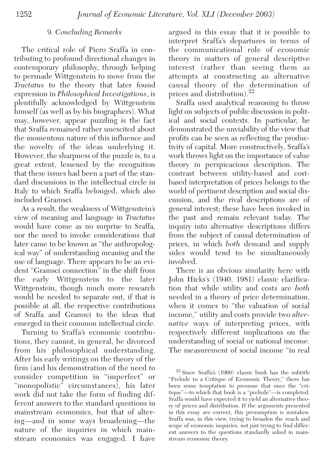## 9. *Concluding Remarks*

The critical role of Piero Sraffa in contributing to profound directional changes in contemporary philosophy, through helping to persuade Wittgenstein to move from the *Tractatus* to the theory that later found expression in *Philosophical Investigations*, is plentifully acknowledged by Wittgenstein himself (as well as by his biographers). What may, however, appear puzzling is the fact that Sraffa remained rather unexcited about the momentous nature of this influence and the novelty of the ideas underlying it. However, the sharpness of the puzzle is, to a great extent, lessened by the recognition that these issues had been a part of the standard discussions in the intellectual circle in Italy to which Sraffa belonged, which also included Gramsci.

As a result, the weakness of Wittgenstein's view of meaning and language in *Tractatus* would have come as no surprise to Sraffa, nor the need to invoke considerations that later came to be known as "the anthropological way" of understanding meaning and the use of language. There appears to be an evident "Gramsci connection" in the shift from the early Wittgenstein to the later Wittgenstein, though much more research would be needed to separate out, if that is possible at all, the respective contributions of Sraffa and Gramsci to the ideas that emerged in their common intellectual circle.

Turning to Sraffa's economic contributions, they cannot, in general, be divorced from his philosophical understanding. After his early writings on the theory of the firm (and his demonstration of the need to consider competition in "imperfect" or "monopolistic" circumstances), his later work did not take the form of finding different answers to the standard questions in mainstream economics, but that of altering—and in some ways broadening—the nature of the inquiries in which mainstream economics was engaged. I have

argued in this essay that it is possible to interpret Sraffa's departures in terms of the communicational role of economic theory in matters of general descriptive interest (rather than seeing them as attempts at constructing an alternative causal theory of the determination of prices and distribution).<sup>22</sup>

Sraffa used analytical reasoning to throw light on subjects of public discussion in political and social contexts. In particular, he demonstrated the unviability of the view that profits can be seen as reflecting the productivity of capital. More constructively, Sraffa's work throws light on the importance of value theory in perspicacious description. The contrast between utility-based and costbased interpretation of prices belongs to the world of pertinent description and social discussion, and the rival descriptions are of general interest; these have been invoked in the past and remain relevant today. The inquiry into alternative descriptions differs from the subject of causal determination of prices, in which *both* demand and supply sides would tend to be simultaneously involved.

There is an obvious similarity here with John Hicks's (1940, 1981) classic clarification that while utility and costs are *both* needed in a theory of price determination, when it comes to "the valuation of social income," utility and costs provide two *alternative* ways of interpreting prices, with respectively different implications on the understanding of social or national income. The measurement of social income "in real

 $22$  Since Sraffa's (1960) classic book has the subtitle "Prelude to a Critique of Economic Theory," there has been some temptation to presume that once the "critique"—to which that book is a "prelude"—is completed, Sraffa would have expected it to yield an alternative theory of prices and distribution. If the arguments presented in this essay are correct, this presumption is mistaken. Sraffa was, in this view, trying to broaden the reach and scope of economic inquiries, not just trying to find different answers to the questions standardly asked in mainstream economic theory.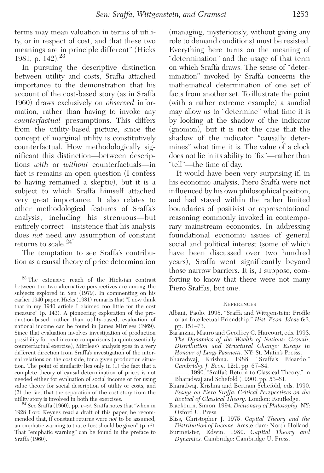terms may mean valuation in terms of utility, or in respect of cost, and that these two meanings are in principle different" (Hicks 1981, p.  $142$ ).<sup>23</sup>

In pursuing the descriptive distinction between utility and costs, Sraffa attached importance to the demonstration that his account of the cost-based story (as in Sraffa 1960) draws exclusively on *observed* information, rather than having to invoke any *counterfactual* presumptions. This differs from the utility-based picture, since the concept of marginal utility is constitutively counterfactual. How methodologically significant this distinction—between descriptions *with* or *without* counterfactuals—in fact is remains an open question (I confess to having remained a skeptic), but it is a subject to which Sraffa himself attached very great importance. It also relates to other methodological features of Sraffa's analysis, including his strenuous—but entirely correct—insistence that his analysis does *not* need any assumption of constant returns to scale.<sup>24</sup>

The temptation to see Sraffa's contribution as a causal theory of price determination

<sup>23</sup> The extensive reach of the Hicksian contrast between the two alternative perspectives are among the subjects explored in Sen (1979). In commenting on his earlier 1940 paper, Hicks (1981) remarks that "I now think that in my 1940 article I claimed too little for the cost measure" (p. 143). A pioneering exploration of the production-based, rather than utility-based, evaluation of national income can be found in James Mirrlees (1969). Since that evaluation involves investigation of production possibility for real income comparisons (a quintessentially counterfactual exercise), Mirrlees's analysis goes in a very different direction from Sraffa's investigation of the internal relations on the cost side, for a given production situation. The point of similarity lies only in  $(1)$  the fact that a complete theory of causal determination of prices is not needed either for evaluation of social income or for using value theory for social description of utility or costs, and (2) the fact that the separation of the cost story from the utility story is involved in both the exercises.

<sup>24</sup> See Sraffa (1960), pp. *v–vi*. Sraffa notes that "when in 1928 Lord Keynes read a draft of this paper, he recom mended that, if constant returns were *not* to be assumed, an emphatic warning to that effect should be given" (p. *vi*). That "emphatic warning" can be found in the preface to Sraffa (1960).

(managing, mysteriously, without giving any role to demand conditions) must be resisted. Everything here turns on the meaning of "determination" and the usage of that term on which Sraffa draws. The sense of "determination" invoked by Sraffa concerns the mathematical determination of one set of facts from another set. To illustrate the point (with a rather extreme example) a sundial may allow us to "determine" what time it is by looking at the shadow of the indicator (gnomon), but it is not the case that the shadow of the indicator "causally determines" what time it is. The value of a clock does not lie in its ability to "fix"—rather than "tell"—the time of day.

It would have been very surprising if, in his economic analysis, Piero Sraffa were not influenced by his own philosophical position, and had stayed within the rather limited boundaries of positivist or representational reasoning commonly invoked in contemporary mainstream economics. In addressing foundational economic issues of general social and political interest (some of which have been discussed over two hundred years), Sraffa went significantly beyond those narrow barriers. It is, I suppose, comforting to know that there were not many Piero Sraffas, but one.

#### **REFERENCES**

- Albani, Paolo. 1998. "Sraffa and Wittgenstein: Profile of an Intellectual Friendship," *Hist. Econ. Ideas* 6:3, pp. 151–73.
- Baranzini, Mauro and Geoffrey C. Harcourt, eds. 1993. *The Dynamics of the Wealth of Nations: Growth, Distribution and Structural Change: Essays in Honour of Luigi Pasinetti.* NY: St. Matin's Presss.
- Bharadwaj, Krishna. 1988. "Sraffa's Ricardo," *Cambridge J. Econ.* 12:1, pp. 67–84.
- ———. 1990. "Sraffa's Return to Classical Theory," in Bharadwaj and Schefold (1990). pp. 53–81.
- Bharadwaj, Krishna and Bertram Schefold, eds. 1990. *Essays on Piero Sraffa: Critical Perspectives on the Revival of Classical Theory.* London: Routledge.
- Blackburn, Simon. 1994. *Dictionary of Philosophy.* NY: Oxford U. Press.
- Bliss, Christopher J. 1975. *Capital Theory and the Distribution of Income.* Amsterdam: North-Holland.
- Burmeister, Edwin. 1980. *Capital Theory and Dynamics.* Cambridge: Cambridge U. Press.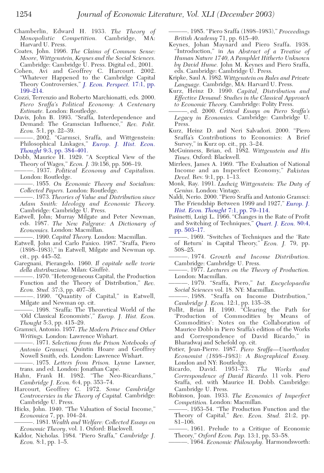- Chamberlin, Edward H. 1933. *The Theory of Monopolistic Competition.* Cambridge, MA: Harvard U. Press.
- Coates, John. 1996. *The Claims of Common Sense: Moore, Wittgenstein, Keynes and the Social Sciences.* Cambridge: Cambridge U. Press. Digital ed., 2001.
- Cohen, Avi and Geoffrey C. Harcourt. 2002. "Whatever Happened to the Cambridge Capital Theory Controversies," *[J. Econ. Perspect.](http://www.ingentaconnect.com/content/external-references?article=/0895-3309^28^2917:1L.199[aid=5441024])* 17:1, pp. [199–214.](http://www.ingentaconnect.com/content/external-references?article=/0895-3309^28^2917:1L.199[aid=5441024])
- Cozzi, Terrenzio and Roberto Marchionatti, eds. 2000. *Piero Sraffa's Political Economy: A Centenary Estimate.* London: Routledge.
- Davis, John B. 1993. "Sraffa, Interdependence and Demand: The Gramscian Influence," *Rev. Polit. Econ.* 5:1, pp. 22–39.
- ———. 2002. "Garmsci, Sraffa, and Wittgenstein: Philosophical Linkages," *[Europ. J. Hist. Econ.](http://www.ingentaconnect.com/content/external-references?article=/0967-2567^28^299:3L.384[aid=3852086]) Thought* [9:3, pp. 384–401.](http://www.ingentaconnect.com/content/external-references?article=/0967-2567^28^299:3L.384[aid=3852086])
- Dobb, Maurice H. 1929. "A Sceptical View of the Theory of Wages," *Econ. J.* 39:156, pp. 506–19.

———. 1937. *Political Economy and Capitalism.* London: Routledge.

- ———. 1955. *On Economic Theory and Socialism: Collected Papers.* London: Routledge.
- ———. 1973. *Theories of Value and Distribution since Adam Smith: Ideology and Economic Theory.* Cambridge: Cambridge U. Press.
- Eatwell, John; Murray Milgate and Peter Newman, eds. 1987. *The New Palgrave: A Dictionary of Economics.* London: Macmillan.

———. 1990. *Capital Theory.* London: Macmillan.

- Eatwell, John and Carlo Panico. 1987. "Sraffa, Piero (1898–1983)," in Eatwell, Milgate and Newman op. cit., pp. 445–52.
- Garegnani, Pierangelo. 1960. *Il capitale nelle teorie della distribuzione.* Milan: Giuffrè.
- ———. 1970. "Heterogeneous Capital, the Production Function and the Theory of Distribution," *Rev. Econ. Stud.* 37:3, pp. 407–36.
- ———. 1990. "Quantity of Capital," in Eatwell, Milgate and Newman op. cit.
- ———. 1998. "Sraffa: The Theoretical World of the 'Old Classical Economists'," *Europ. J. Hist. Econ. Thought* 5:3, pp. 415–29.
- Gramsci, Antonio. 1957. *The Modern Prince and Other Writings.* London: Lawrence Wishart.
- ———. 1971. *Selections from the Prison Notebooks of Antonio Gramsci.* Quintin Hoare and Geoffrey Nowell Smith, eds. London: Lawrence Wishart.

———. 1975. *Letters from Prison.* Lynne Lawner, trans. and ed. London: Jonathan Cape.

- Hahn, Frank H. 1982. "The Neo-Ricardians," *Cambridge J. Econ.* 6:4, pp. 353–74.
- Harcourt, Geoffrey C. 1972. *Some Cambridge Controversies in the Theory of Capital.* Cambridge: Cambridge U. Press.
- Hicks, John. 1940. "The Valuation of Social Income," *Economica* 7, pp. 104–24.

———. 1981. *Wealth and Welfare: Collected Essays on Economic Theory*, vol. 1. Oxford: Blackwell.

Kaldor, Nicholas. 1984. "Piero Sraffa," *Cambridge J. Econ.* 8:1, pp. 1–5.

———. 1985. "Piero Sraffa (1898–1983)," *Proceedings British Academy* 71, pp. 615–40.

- Keynes, Johan Maynard and Piero Sraffa. 1938. "Introduction," in *An Abstract of a Treatise of Human Nature 1740, A Pamphlet Hitherto Unknown by David Hume.* John M. Keynes and Piero Sraffa, eds. Cambridge: Cambridge U. Press.
- Kripke, Saul A. 1982. *Wittgenstein on Rules and Private Language.* Cambridge, MA: Harvard U. Press.
- Kurz, Heinz D. 1990. *Capital, Distribution and Effective Demand: Studies in the Classical Approach to Economic Theory.* Cambridge: Polity Press.
- ———, ed. 2000. *Critical Essays on Piero Sraffa's Legacy in Economics.* Cambridge: Cambridge U. Press.
- Kurz, Heinz D. and Neri Salvadori. 2000. "Piero Sraffa's Contributions to Economics: A Brief Survey," in Kurz op. cit., pp. 3–24.
- McGuinness, Brian, ed. 1982. *Wittgenstein and His Times.* Oxford: Blackwell.
- Mirrlees, James A. 1969. "The Evaluation of National Income and an Imperfect Economy," *Pakistan Devel.* Rev. 9:1, pp. 1–13.
- Monk, Ray. 1991. *Ludwig Wittgenstein: The Duty of Genius.* London: Vintage.
- Naldi, Nerio. 2000. "Piero Sraffa and Antonio Gramsci: The Friendship Between 1999 and 1927," *[Europ. J.](http://www.ingentaconnect.com/content/external-references?article=/0967-2567^28^297:1L.79[aid=3054735]) [Hist. Econ. Thought](http://www.ingentaconnect.com/content/external-references?article=/0967-2567^28^297:1L.79[aid=3054735])* 7:1, pp. 79–114.
- Pasinetti, Luigi L. 1966. "Changes in the Rate of Profit and Switching of Techniques," *[Quart. J. Econ.](http://www.ingentaconnect.com/content/external-references?article=/0033-5533^28^2980:4L.503[aid=5441030])* 80:4, [pp. 503–17.](http://www.ingentaconnect.com/content/external-references?article=/0033-5533^28^2980:4L.503[aid=5441030])
- ———. 1969. "Switches of Techniques and the 'Rate of Return' in Capital Theory," *Econ. J.* 79, pp. 508–25.
- ———. 1974. *Growth and Income Distribution.* Cambridge: Cambridge U. Press.
- ———. 1977. *Lectures on the Theory of Production.* London: Macmillan.
- ———. 1979. "Sraffa, Piero," *Int. Encyclopaedia Social Sciences* vol. 18. NY: Macmillan.
- ———. 1988. "Sraffa on Income Distribution," *Cambridge J. Econ.* 12:1, pp. 135–38.
- Pollit, Brian H. 1990. "Clearing the Path for 'Production of Commodities by Means of Commodities': Notes on the Collaboration of Maurice Dobb in Piero Sraffa's edition of the Works and Correspondence of David Ricardo," in Bharadwaj and Schefold op. cit.
- Potier, Jean-Pierre. 1987. *Piero Sraffa—Unorthodox Economist (1898–1983): A Biographical Essay.* London and NY: Routledge.<br>Ricardo, David. 1951-73.
- Ricardo, David. 1951–73. *The Works and Correspondence of David Ricardo.* 11 vols. Piero Sraffa, ed. with Maurice H. Dobb. Cambridge: Cambridge U. Press.
- Robinson, Joan. 1933. *The Economics of Imperfect Competition.* London: Macmillan.
- ———. 1953–54. "The Production Function and the Theory of Capital," *Rev. Econ. Stud.* 21:2, pp. 81–106.
- ———. 1961. Prelude to a Critique of Economic Theory," *Oxford Econ. Pap.* 13:1, pp. 53–58.
	- ———. 1964. *Economic Philosophy.* Harmondsworth: